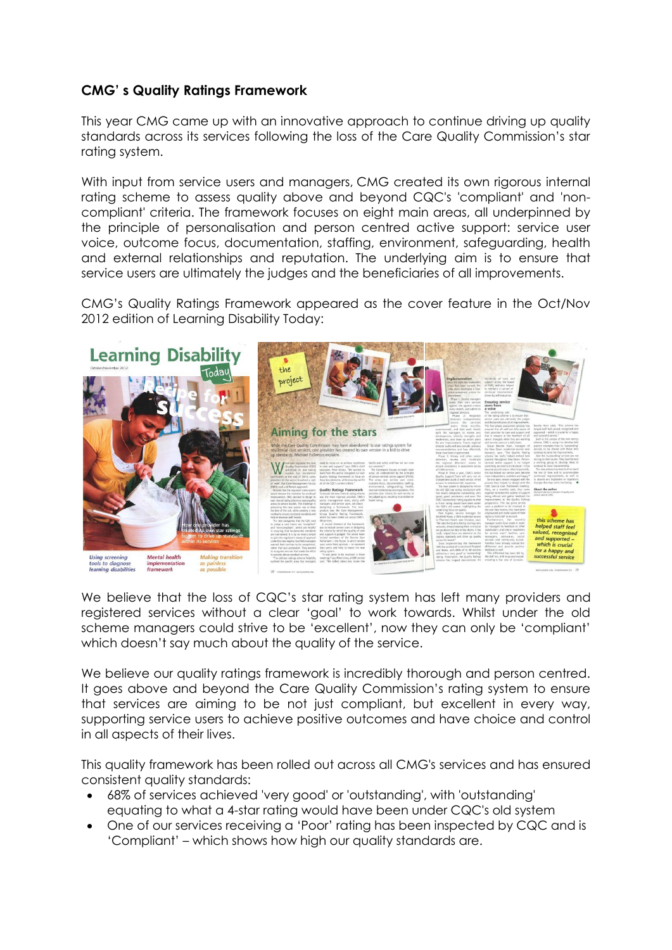## **CMG' s Quality Ratings Framework**

This year CMG came up with an innovative approach to continue driving up quality standards across its services following the loss of the Care Quality Commission's star rating system.

With input from service users and managers, CMG created its own rigorous internal rating scheme to assess quality above and beyond CQC's 'compliant' and 'noncompliant' criteria. The framework focuses on eight main areas, all underpinned by the principle of personalisation and person centred active support: service user voice, outcome focus, documentation, staffing, environment, safeguarding, health and external relationships and reputation. The underlying aim is to ensure that service users are ultimately the judges and the beneficiaries of all improvements.

CMG's Quality Ratings Framework appeared as the cover feature in the Oct/Nov 2012 edition of Learning Disability Today:



We believe that the loss of CQC's star rating system has left many providers and registered services without a clear 'goal' to work towards. Whilst under the old scheme managers could strive to be 'excellent', now they can only be 'compliant' which doesn't say much about the quality of the service.

We believe our quality ratings framework is incredibly thorough and person centred. It goes above and beyond the Care Quality Commission's rating system to ensure that services are aiming to be not just compliant, but excellent in every way, supporting service users to achieve positive outcomes and have choice and control in all aspects of their lives.

This quality framework has been rolled out across all CMG's services and has ensured consistent quality standards:

- 68% of services achieved 'very good' or 'outstanding', with 'outstanding' equating to what a 4-star rating would have been under CQC's old system
- One of our services receiving a 'Poor' rating has been inspected by CQC and is 'Compliant' – which shows how high our quality standards are.